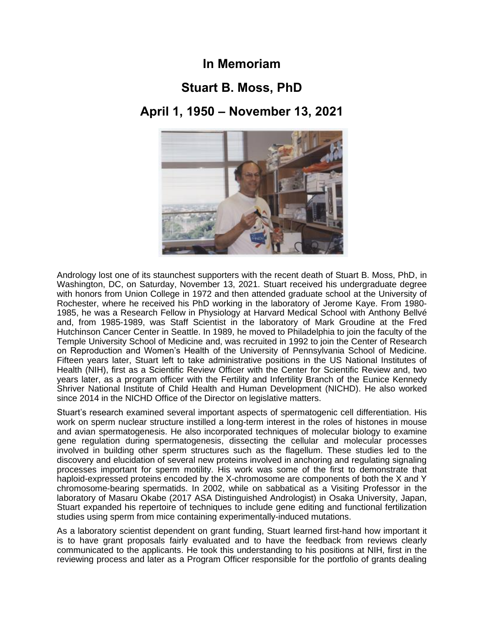## **In Memoriam**

## **Stuart B. Moss, PhD**

## **April 1, 1950 – November 13, 2021**



Andrology lost one of its staunchest supporters with the recent death of Stuart B. Moss, PhD, in Washington, DC, on Saturday, November 13, 2021. Stuart received his undergraduate degree with honors from Union College in 1972 and then attended graduate school at the University of Rochester, where he received his PhD working in the laboratory of Jerome Kaye. From 1980- 1985, he was a Research Fellow in Physiology at Harvard Medical School with Anthony Bellvé and, from 1985-1989, was Staff Scientist in the laboratory of Mark Groudine at the Fred Hutchinson Cancer Center in Seattle. In 1989, he moved to Philadelphia to join the faculty of the Temple University School of Medicine and, was recruited in 1992 to join the Center of Research on Reproduction and Women's Health of the University of Pennsylvania School of Medicine. Fifteen years later, Stuart left to take administrative positions in the US National Institutes of Health (NIH), first as a Scientific Review Officer with the Center for Scientific Review and, two years later, as a program officer with the Fertility and Infertility Branch of the Eunice Kennedy Shriver National Institute of Child Health and Human Development (NICHD). He also worked since 2014 in the NICHD Office of the Director on legislative matters.

Stuart's research examined several important aspects of spermatogenic cell differentiation. His work on sperm nuclear structure instilled a long-term interest in the roles of histones in mouse and avian spermatogenesis. He also incorporated techniques of molecular biology to examine gene regulation during spermatogenesis, dissecting the cellular and molecular processes involved in building other sperm structures such as the flagellum. These studies led to the discovery and elucidation of several new proteins involved in anchoring and regulating signaling processes important for sperm motility. His work was some of the first to demonstrate that haploid-expressed proteins encoded by the X-chromosome are components of both the X and Y chromosome-bearing spermatids. In 2002, while on sabbatical as a Visiting Professor in the laboratory of Masaru Okabe (2017 ASA Distinguished Andrologist) in Osaka University, Japan, Stuart expanded his repertoire of techniques to include gene editing and functional fertilization studies using sperm from mice containing experimentally-induced mutations.

As a laboratory scientist dependent on grant funding, Stuart learned first-hand how important it is to have grant proposals fairly evaluated and to have the feedback from reviews clearly communicated to the applicants. He took this understanding to his positions at NIH, first in the reviewing process and later as a Program Officer responsible for the portfolio of grants dealing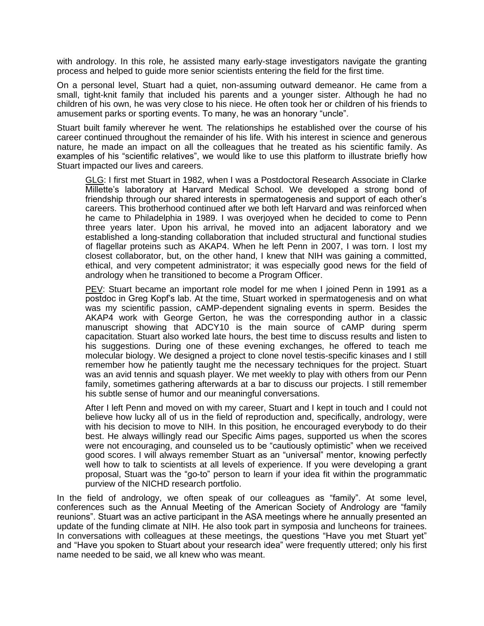with andrology. In this role, he assisted many early-stage investigators navigate the granting process and helped to guide more senior scientists entering the field for the first time.

On a personal level, Stuart had a quiet, non-assuming outward demeanor. He came from a small, tight-knit family that included his parents and a younger sister. Although he had no children of his own, he was very close to his niece. He often took her or children of his friends to amusement parks or sporting events. To many, he was an honorary "uncle".

Stuart built family wherever he went. The relationships he established over the course of his career continued throughout the remainder of his life. With his interest in science and generous nature, he made an impact on all the colleagues that he treated as his scientific family. As examples of his "scientific relatives", we would like to use this platform to illustrate briefly how Stuart impacted our lives and careers.

GLG: I first met Stuart in 1982, when I was a Postdoctoral Research Associate in Clarke Millette's laboratory at Harvard Medical School. We developed a strong bond of friendship through our shared interests in spermatogenesis and support of each other's careers. This brotherhood continued after we both left Harvard and was reinforced when he came to Philadelphia in 1989. I was overjoyed when he decided to come to Penn three years later. Upon his arrival, he moved into an adjacent laboratory and we established a long-standing collaboration that included structural and functional studies of flagellar proteins such as AKAP4. When he left Penn in 2007, I was torn. I lost my closest collaborator, but, on the other hand, I knew that NIH was gaining a committed, ethical, and very competent administrator; it was especially good news for the field of andrology when he transitioned to become a Program Officer.

PEV: Stuart became an important role model for me when I joined Penn in 1991 as a postdoc in Greg Kopf's lab. At the time, Stuart worked in spermatogenesis and on what was my scientific passion, cAMP-dependent signaling events in sperm. Besides the AKAP4 work with George Gerton, he was the corresponding author in a classic manuscript showing that ADCY10 is the main source of cAMP during sperm capacitation. Stuart also worked late hours, the best time to discuss results and listen to his suggestions. During one of these evening exchanges, he offered to teach me molecular biology. We designed a project to clone novel testis-specific kinases and I still remember how he patiently taught me the necessary techniques for the project. Stuart was an avid tennis and squash player. We met weekly to play with others from our Penn family, sometimes gathering afterwards at a bar to discuss our projects. I still remember his subtle sense of humor and our meaningful conversations.

After I left Penn and moved on with my career, Stuart and I kept in touch and I could not believe how lucky all of us in the field of reproduction and, specifically, andrology, were with his decision to move to NIH. In this position, he encouraged everybody to do their best. He always willingly read our Specific Aims pages, supported us when the scores were not encouraging, and counseled us to be "cautiously optimistic" when we received good scores. I will always remember Stuart as an "universal" mentor, knowing perfectly well how to talk to scientists at all levels of experience. If you were developing a grant proposal, Stuart was the "go-to" person to learn if your idea fit within the programmatic purview of the NICHD research portfolio.

In the field of andrology, we often speak of our colleagues as "family". At some level, conferences such as the Annual Meeting of the American Society of Andrology are "family reunions". Stuart was an active participant in the ASA meetings where he annually presented an update of the funding climate at NIH. He also took part in symposia and luncheons for trainees. In conversations with colleagues at these meetings, the questions "Have you met Stuart yet" and "Have you spoken to Stuart about your research idea" were frequently uttered; only his first name needed to be said, we all knew who was meant.